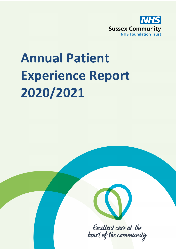

# **Annual Patient Experience Report 2020/2021**



Excellent care at the heart of the community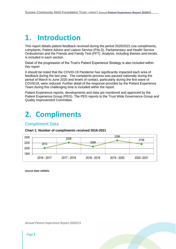### **1. Introduction**

This report details patient feedback received during the period 2020/2021 (via compliments, complaints, Patient Advice and Liaison Service (PALS), Parliamentary and Health Service Ombudsman and the Friends and Family Test (FFT). Analysis, including themes and trends, is included in each section.

Detail of the progression of the Trust's Patient Experience Strategy is also included within this report

It should be noted that the COVID-19 Pandemic has significantly impacted each area of feedback during the last year. The complaints process was paused nationally during the period of March to June 2020 and levels of contact, particularly during the first wave of COVID19, were reduced. Further detail of the response provided by the Patient Experience Team during this challenging time is included within the report.

Patient Experience reports, developments and data are monitored and approved by the Patient Experience Group (PEG). The PEG reports to the Trust Wide Governance Group and Quality Improvement Committee.

# **2. Compliments**

#### Compliment Data

#### **Chart 1: Number of compliments received 2016-2021**



*Source Datix 16/04/21*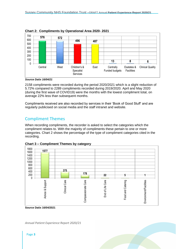

#### **Chart 2: Compliments by Operational Area 2020- 2021**

*Source Datix 16/04/21*

2158 compliments were recorded during the period 2020/2021 which is a slight reduction of 5.72% compared to 2289 compliments recorded during 2019/2020. April and May 2020 (during the first wave of COVID19) were the months with the lowest compliment total, on average 22% less than subsequent months.

Compliments received are also recorded by services in their 'Book of Good Stuff' and are regularly publicised on social media and the staff intranet and website.

#### Compliment Themes

When recording compliments, the recorder is asked to select the categories which the compliment relates to. With the majority of compliments these pertain to one or more categories. Chart 2 shows the percentage of the type of compliment categories cited in the recording.



**Chart 3 – Compliment Themes by category**

**Source Datix 16/04/2021**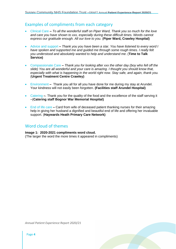#### Examples of compliments from each category

- Clinical Care **–** *To all the wonderful staff on Piper Ward, Thank you so much for the love and care you have shown to xxx, especially during these difficult times. Words cannot express our gratitude enough. All our love to you.* (**Piper Ward, Crawley Hospital)**
- Advice and support **–** *Thank you you have been a star. You have listened to every word I have spoken and supported me and guided me through some rough times. I really felt you understood and absolutely wanted to help and understand me*. (**Time to Talk Service)**
- Compassionate Care **–** *Thank you for looking after xxx the other day (boy who fell off the slide) You are all wonderful and your care is amazing. I thought you should know that, especially with what is happening in the world right now. Stay safe, and again, thank you.* (**Urgent Treatment Centre Crawley)**
- Environment **–** Thank you all for all you have done for me during my stay at Arundel. Your kindness will not easily been forgotten. **(Facilities staff Arundel Hospital)**
- Catering **–**. Thank you for the quality of the food and the excellence of the staff serving it –(**Catering staff Bognor War Memorial Hospital)**
- End of life care Card from wife of deceased patient thanking nurses for their amazing help in giving her husband a dignified and beautiful end of life and offering her invaluable support. (**Haywards Heath Primary Care Network)**

#### Word cloud of themes

**Image 1: 2020-2021 compliments word cloud.**  (The larger the word the more times it appeared in compliments)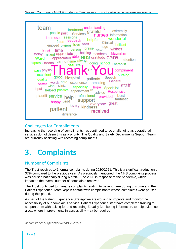

#### Challenges for Compliments

Increasing the recording of compliments has continued to be challenging as operational services do not deem this as a priority. The Quality and Safety Departments Support Team are currently assisting with recording compliments.

### **3. Complaints**

#### Number of Complaints

The Trust received 141 formal complaints during 2020/2021. This is a significant reduction of 37% compared to the previous year. As previously mentioned, the NHS complaints process was paused nationally during March- June 2020 in response to the pandemic, which impacted the overall number of complaints received.

The Trust continued to manage complaints relating to patient harm during this time and the Patient Experience Team kept in contact with complainants whose complaints were paused during this period.

As part of the Patient Experience Strategy we are working to improve and monitor the accessibility of our complaints service. Patient Experience staff have completed training to support them with asking for and recording Equality Monitoring information, to help evidence areas where improvements in accessibility may be required.

*Annual Patient Experience Report 2020/21*

Page **5**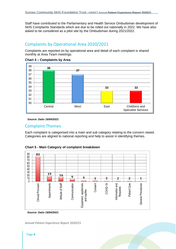Staff have contributed to the Parliamentary and Health Service Ombudsman development of NHS Complaints Standards which are due to be rolled out nationally in 2022. We have also asked to be considered as a pilot site by the Ombudsman during 2021/2022.

#### Complaints by Operational Area 2020/2021

Complaints are reported on by operational area and detail of each complaint is shared monthly at Area Team meetings.





*Source: Datix 16/04/2021*

#### Complaint Themes

Each complaint is categorised into a main and sub category relating to the concern raised. Categories are aligned to national reporting and help to assist in identifying themes.



**Chart 5 - Main Category of complaint breakdown**

*Source: Datix 16/04/2021*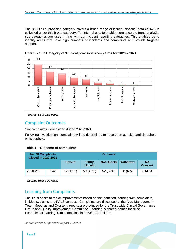The 83 Clinical provision category covers a broad range of issues. National data (KO41) is collected under this broad category. For internal use, to enable more accurate trend analysis, sub categories are used in line with our incident reporting categories. This enables us to identify areas that have high numbers of incidents and complaints and provide targeted support.



**Chart 6 - Sub Category of 'Clinical provision' complaints for 2020 – 2021**

*Source: Datix 16/04/2021*

#### Complaint Outcomes

142 complaints were closed during 2020/2021.

Following investigation, complaints will be determined to have been upheld, partially upheld or not upheld.

#### **Table 1 – Outcome of complaints**

| <b>No. Of Complaints</b><br><b>Closed in 2020-2021</b> |     |               |                                | <b>Outcome</b>    |                  |                             |
|--------------------------------------------------------|-----|---------------|--------------------------------|-------------------|------------------|-----------------------------|
|                                                        |     | <b>Upheld</b> | <b>Partly</b><br><b>Upheld</b> | <b>Not Upheld</b> | <b>Withdrawn</b> | <b>No</b><br><b>Consent</b> |
| 2020-21                                                | 142 | 17 (12%)      | 59 (42%)                       | 52 (36%)          | 8(6%)            | 6(4%)                       |

*Source: Datix 16/04/2021*

#### Learning from Complaints

The Trust seeks to make improvements based on the identified learning from complaints, incidents, claims and PALS contacts. Complaints are discussed at the Area Management Team Meetings and Quarterly reports are produced for the Trust-wide Clinical Governance Group and Quality Improvement Committee. Learning is shared across the trust. Examples of learning from complaints in 2020/2021 include: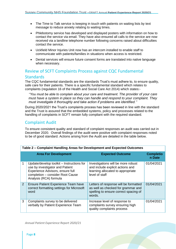- The Time to Talk service is keeping in touch with patients on waiting lists by text message to reduce anxiety relating to waiting times.
- Phlebotomy service has developed and displayed posters with information on how to contact the service via email. They have also ensured all calls to the service are now received via a landline telephone number following concerns raised about difficulties contact the service.
- Uckfield Minor Injuries Unit now has an intercom installed to enable staff to communicate with patients/families in situations when access is restricted.
- Dental services will ensure future consent forms are translated into native language when necessary.

#### Review of SCFT Complaints Process against CQC Fundamental **Standards**

The CQC fundamental standards are the standards Trust's must adhere to, to ensure quality, safe care for their patients. There is a specific fundamental standard which relates to complaints (regulation 16 of the Health and Social Care Act 2014) which states:-

*''You must be able to complain about your care and treatment. The provider of your care must have a system in place so they can handle and respond to your complaint. They must investigate it thoroughly and take action if problems are identified.''*

During 2020/2021 the Trust's complaints process has been reviewed in line with the standard and the Trust is assured that the embedded systems, policy and processes related to the handling of complaints in SCFT remain fully compliant with the required standard.

#### Complaint Audit

To ensure consistent quality and standard of complaint responses an audit was carried out in December 2020. Overall findings of the audit were positive with complaint responses noted to be of good standard. Actions arising from the Audit are detailed in the table below.

|   | Table 2 – Complaint Handling Areas for Development and Expected Outcomes                                                                                                       |                                                                                                                                |                            |  |  |  |  |  |  |  |  |
|---|--------------------------------------------------------------------------------------------------------------------------------------------------------------------------------|--------------------------------------------------------------------------------------------------------------------------------|----------------------------|--|--|--|--|--|--|--|--|
|   | <b>Area For Development</b>                                                                                                                                                    | <b>Expected Outcome</b>                                                                                                        | <b>Completio</b><br>n Date |  |  |  |  |  |  |  |  |
|   | Update/develop toolkit - Instructions for<br>use by investigator and Patient<br>Experience Advisors, ensure full<br>completion - consider Root Cause<br>Analysis (RCA) formula | Investigations will be more robust<br>and include explicit actions and<br>learning allocated to appropriate<br>level of staff  | 01/04/2021                 |  |  |  |  |  |  |  |  |
| 2 | Ensure Patient Experience Team have<br>correct formatting settings for Microsoft<br>word                                                                                       | Letters of response will be formatted<br>as well as checked for grammar and<br>spelling to ensure correct spacing of<br>words. | 01/04/2021                 |  |  |  |  |  |  |  |  |
| 3 | Complaints survey to be delivered<br>verbally by Patient Experience Team                                                                                                       | Increase level of response to<br>complaints survey ensuring high<br>quality complaints process                                 | 01/04/2021                 |  |  |  |  |  |  |  |  |

#### **Table 2 – Complaint Handling Areas for Development and Expected Outcomes**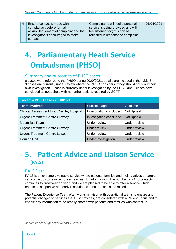| $\overline{4}$ | <b>Ensure contact is made with</b><br>complainant before formal<br>acknowledgement of complaint and that<br>investigator is encouraged to make | Complainants will feel a personal<br>service is being provided and will<br>feel listened too; this can be<br>reflected in response to complaint. | 01/04/2021 |
|----------------|------------------------------------------------------------------------------------------------------------------------------------------------|--------------------------------------------------------------------------------------------------------------------------------------------------|------------|
|                | contact                                                                                                                                        |                                                                                                                                                  |            |

### **4. Parliamentary Heath Service Ombudsman (PHSO)**

#### Summary and outcomes of PHSO cases

6 cases were referred to the PHSO during 2020/2021, details are included in the table 3. 3 cases are currently under review where the PHSO considers if they should carry out their own investigation. 1 case is currently under investigation by the PHSO and 2 cases have concluded as not upheld with no further actions required by SCFT.

| Table 3 - PHSO cases 2020/2021             |                         |                   |  |  |  |  |  |  |  |  |  |
|--------------------------------------------|-------------------------|-------------------|--|--|--|--|--|--|--|--|--|
| <b>Team Involved</b>                       | <b>Current stage</b>    | Outcome           |  |  |  |  |  |  |  |  |  |
| Clinical Assessment Unit, Crawley Hospital | Investigation concluded | Not Upheld        |  |  |  |  |  |  |  |  |  |
| <b>Urgent Treatment Centre Crawley</b>     | Investigation concluded | <b>Not Upheld</b> |  |  |  |  |  |  |  |  |  |
| <b>Macmillan Team</b>                      | Under review            | Under review      |  |  |  |  |  |  |  |  |  |
| <b>Urgent Treatment Centre Crawley</b>     | <b>Under review</b>     | Under review      |  |  |  |  |  |  |  |  |  |
| <b>Urgent Treatment Centre Lewes</b>       | Under review            | Under review      |  |  |  |  |  |  |  |  |  |
| Horizon Unit                               | Under investigation     | Under review      |  |  |  |  |  |  |  |  |  |

### **5. Patient Advice and Liaison Service (PALS)**

#### PALS Data

PALS is an extremely valuable service where patients, families and their relatives or carers can contact us to resolve concerns or ask for information. The number of PALS contacts continues to grow year on year, and we are pleased to be able to offer a service which enables a supportive and early resolution to concerns or issues raised.

The Patient Experience Team often works in liaison with operational teams to ensure any potential changes to services the Trust provides, are considered with a Patient Focus and to enable any information to be readily shared with patients and families who contact us.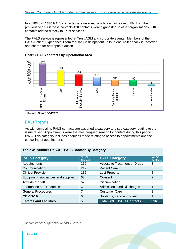In 2020/2021 **1336** PALS contacts were received which is an increase of 8% from the previous year. Of these contacts **420** contacts were signposted to other organisations. **916** contacts related directly to Trust services.

The PALS service is represented at Trust AGM and corporate events. Members of the PALS/Patient Experience Team regularly visit inpatient units to ensure feedback is recorded and shared for appropriate action.



#### **Chart 7 PALS contacts by Operational Area**

*Source: Datix 16/04/2021*

#### PALs Trends

As with complaints PALS contacts are assigned a category and sub category relating to the issue raised. Appointments were the most frequent reason for contact during this period (268). This category includes enquiries made relating to access to appointments and the cancelling of appointments.

| Table 4: Number Of SCFT PALS Contact By Category |                           |                                 |                           |  |  |  |  |  |  |  |
|--------------------------------------------------|---------------------------|---------------------------------|---------------------------|--|--|--|--|--|--|--|
| <b>PALS Category</b>                             | No. Of<br><b>Contacts</b> | <b>PALS Category</b>            | No. Of<br><b>Contacts</b> |  |  |  |  |  |  |  |
| Appointments                                     | 269                       | Access to Treatment or Drugs    | 3                         |  |  |  |  |  |  |  |
| Communication                                    | 242                       | <b>Patient Care</b>             | 3                         |  |  |  |  |  |  |  |
| <b>Clinical Provision</b>                        | 185                       | <b>Lost Property</b>            | 2                         |  |  |  |  |  |  |  |
| Equipment, appliances and supplies               | 63                        | Consent                         | $\overline{2}$            |  |  |  |  |  |  |  |
| Attitude of Staff                                | 62                        | <b>Discrimination</b>           | 2                         |  |  |  |  |  |  |  |
| <b>Information and Requests</b>                  | 62                        | Admissions and Discharges       |                           |  |  |  |  |  |  |  |
| <b>General Procedures</b>                        | 7                         | <b>Customer Care</b>            |                           |  |  |  |  |  |  |  |
| COVID-19                                         | 6                         | Buildings, Land and Plant       |                           |  |  |  |  |  |  |  |
| <b>Estates and Facilities</b>                    | 5                         | <b>Total SCFT PALs Contacts</b> | 916                       |  |  |  |  |  |  |  |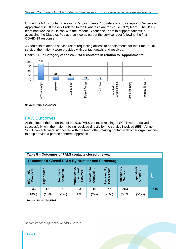Of the 269 PALs contacts relating to 'appointments' 180 relate to sub category of 'Access to Appointments'. Of these 71 related to the Diabetes Care for You (DCFY) team. The DCFY team had worked in Liaison with the Patient Experience Team to support patients in accessing the Diabetes Podiatry service as part of the service reset following the first COVID-19 response.

45 contacts related to service users requesting access to appointments for the Time to Talk service, the majority were provided with contact details and resolved.



**Chart 8: Sub Category of the 268 PALS contacts in relation to 'Appointments'.**

*Source: Datix 16/04/2021*

#### PALS Outcomes

At the time of the report **914** of the **916** PALS contacts relating to SCFT were resolved successfully with the majority being resolved directly by the service involved (**553**). All non-SCFT contacts were signposted with the team often making contact with other organisations to help provide a person centered approach.

|                                                        | Table 5 - Outcomes of PALS contacts closed this year |                      |                                                |                                  |                                                |                                                   |                                |       |  |  |  |  |  |
|--------------------------------------------------------|------------------------------------------------------|----------------------|------------------------------------------------|----------------------------------|------------------------------------------------|---------------------------------------------------|--------------------------------|-------|--|--|--|--|--|
| <b>Outcome Of Closed PALs By Number and Percentage</b> |                                                      |                      |                                                |                                  |                                                |                                                   |                                |       |  |  |  |  |  |
| nformatio<br>Provided                                  | Signposted                                           | Feedback<br>Accepted | Ο<br>್ಹಾ<br>onsent<br>receiv<br><b>Withdra</b> | <u>ୁ</u><br>Escalated<br>Complai | ved By<br><b>Team</b><br><b>PALS</b><br>Resoly | $\mathbf{\Sigma}$<br><u>စီ</u><br>Resolved<br>မ္ဟ | <b>Unspecified/</b><br>Ongoing | Total |  |  |  |  |  |
| 133                                                    | 121                                                  | 50                   | 10                                             | 19                               | 45                                             | 553                                               | $\mathcal{P}$                  | 619   |  |  |  |  |  |
| (14%)                                                  | (13%)                                                | (5%)                 | (1%)                                           | $^{'}2\%$                        | (5%)                                           | (60%)                                             | $>1\%$                         |       |  |  |  |  |  |

*Source: Datix 16/04/2021*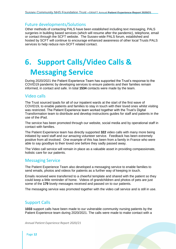#### Future developments/Solutions

Other methods of contacting PALS have been established including text messaging, PALS surgeries in building based services (which will resume after the pandemic), telephone, email or contact through the SCFT website. The Sussex-wide PALS forum, established and hosted by SCFT will continue to encourage enhanced awareness of other local Trusts PALS services to help reduce non-SCFT related contact.

# **6. Support Calls/Video Calls & Messaging Service**

During 2020/2021 the Patient Experience Team has supported the Trust's response to the COVID19 pandemic by developing services to ensure patients and their families remain informed, in contact and safe. In total **1534** contacts were made by the team.

#### Video calls

The Trust sourced Ipads for all of our inpatient wards at the start of the first wave of COVID19, to enable patients and families to stay in touch with their loved ones whilst visiting was restricted. The Patient Experience team worked together with the Trust's Digital Transformation team to distribute and develop instructions guides for staff and patients in the use of the iPad.

The service has been promoted through our website, social media and by operational staff in contact with families.

The Patient Experience team has directly supported **322** video calls with many more being initiated by ward staff and our amazing volunteer service. Feedback has been extremely positive from all involved. One example of this has been from a family in France who were able to say goodbye to their loved one before they sadly passed away.

The Video call service will remain in place as a valuable asset in providing compassionate, holistic care for our patients.

#### Messaging Service

The Patient Experience Team also developed a messaging service to enable families to send emails, photos and videos for patients as a further way of keeping in touch.

Emails received were transferred to a cheerful template and shared with the patient so they could keep a little reminder of home. Videos of grandchildren and photos of pets are just some of the **179** lovely messages received and passed on to our patients.

The messaging service was promoted together with the video call service and is still in use.

#### Support Calls

**1033** support calls have been made to our vulnerable community nursing patients by the Patient Experience team during 2020/2021. The calls were made to make contact with a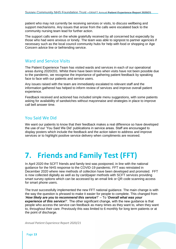patient who may not currently be receiving services or visits, to discuss wellbeing and support mechanisms. Any issues that arose from the calls were escalated back to the community nursing team lead for further action.

The support calls were on the whole gratefully received by all concerned but especially by those who had were anxious or lonely. The team was able to signpost to partner agencies if necessary such as the local council community hubs for help with food or shopping or Age Concern advice line or befriending service.

#### Ward and Service Visits

The Patient Experience Team has visited wards and services in each of our operational areas during 2020/201. Whilst there have been times when visits have not been possible due to the pandemic, we recognise the importance of gathering patient feedback by speaking face to face with our patients and service users.

Any issues raised with the team are immediately escalated to relevant staff and the information gathered has helped to inform review of services and improve overall patient experience.

Feedback received and actioned has included simple menu suggestions, with some patients asking for availability of sandwiches without mayonnaise and strategies in place to improve call bell answer time.

#### You Said We Did

We want our patients to know that their feedback makes a real difference so have developed the use of our 'You Said We Did' publications in service areas. Staff are encouraged to display posters which include the feedback and the action taken to address and improve services or to highlight positive service delivery when compliments are received.

## **7. Friends and Family Test (FFT)**

In April 2020 the SCFT friends and family test was postponed, in line with the national guidance for the NHS response to the COVID-19 pandemic. FFT was reinstated in December 2020 where new methods of collection have been developed and promoted. FFT is now collected digitally as well as by card/paper methods with SCFT services providing smart survey options which can be accessed by an email link or QR code scanning access for smart phone users.

The trust successfully implemented the new FFT national guidance. The main change is with the way the question is phrased to make it easier for people to complete. This changed from '*How likely are you to recommend this service*?' – To '*Overall what was your experience of this service*?'. The other significant change, with the new guidance is that people who access the service can feedback as many times as they want to, when they want to, throughout their care. Previously this was limited to 6 monthly for long term patients or at the point of discharge.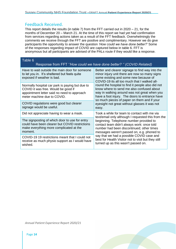#### Feedback Received.

This report details the results (in table 7) from the FFT carried out in 2020 – 21, for the months of December 20 – March 21. At the time of this report we had yet had confirmation from services regarding actions taken as a result of the FFT feedback. Overwhelmingly the comments we receive through the FFT are positive and complimentary. However we do give participants the opportunity to answer the question *'How could we have done better?'* Some of the responses regarding impact of COVID are captured below in table 6. FFT is anonymous but all participants are advised of the PALs route if they would like a response.

| Table 6                                                                                                                                                              | Response from FFT ''How could we have done better? " (COVID Related)                                                                                                                                                                            |
|----------------------------------------------------------------------------------------------------------------------------------------------------------------------|-------------------------------------------------------------------------------------------------------------------------------------------------------------------------------------------------------------------------------------------------|
| Have to wait outside the main door for someone<br>to let you in. It's sheltered but feels quite<br>exposed if weather is bad.                                        | Better and clearer signage to find way into the<br>minor injury unit there are now so many signs<br>some existing and some new because of<br>COVID-19 its all too much that I walked all-                                                       |
| Normally hospital car park is paying but due to<br>COVID it was free. Would be good if<br>appointment letter said no need to approach<br>meter machine due to COVID. | round the hospital to find it people also did not<br>know where to send me also confused about<br>way in walking around was not great when you<br>have a foot injury. The doors to entrance have<br>so much pieces of paper on them and if your |
| COVID regulations were good but clearer<br>signage would be useful.                                                                                                  | eyesight not great without glasses it was not<br>easy.                                                                                                                                                                                          |
| Did not appreciate having to wear a mask.                                                                                                                            | Took a while for team to contact with me via<br>text/email only although I requested this from the                                                                                                                                              |
| The signposting of which door to use for entry<br>could have been clearer but COVID restrictions<br>make everything more complicated at the<br>moment.               | beginning. Telephone number provided to<br>contact team didn't always work: once told<br>number had been discontinued; other times<br>messages weren't passed on, e.g. phoned to                                                                |
| COVID-19 19 restrictions meant that I could not<br>receive as much physio support as I would have<br>wished.                                                         | say that we had a possible COVID case and<br>best for Health Visitor not to visit but they still<br>turned up as this wasn't passed on.                                                                                                         |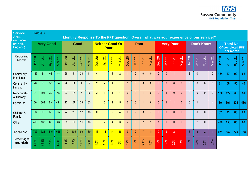| <b>Service</b><br><b>Area</b><br>(As defined |                  | <b>Table 7</b> |        |        |                |        |                                |                                |                        |                                       |                                |                                |                        |                                 | Monthly Response To the FFT question 'Overall what was your experience of our service?' |                            |                        |                                |                        |                                 |                                                   |                                 |                        |                                |                        |                                |                                |        |
|----------------------------------------------|------------------|----------------|--------|--------|----------------|--------|--------------------------------|--------------------------------|------------------------|---------------------------------------|--------------------------------|--------------------------------|------------------------|---------------------------------|-----------------------------------------------------------------------------------------|----------------------------|------------------------|--------------------------------|------------------------|---------------------------------|---------------------------------------------------|---------------------------------|------------------------|--------------------------------|------------------------|--------------------------------|--------------------------------|--------|
| <b>By NHS</b><br>England)                    | <b>Very Good</b> |                |        |        | Good           |        |                                | <b>Neither Good Or</b><br>Poor |                        |                                       |                                | Poor                           |                        |                                 | Very Poor                                                                               |                            |                        | <b>Don't Know</b>              |                        |                                 | <b>Total No.</b><br>Of completed FFT<br>per month |                                 |                        |                                |                        |                                |                                |        |
| Reporting<br>Month                           | Dec 20           | Jan 21         | Feb 21 | Mar 21 | <b>Dec 20</b>  | Jan 21 | $\overline{\mathsf{N}}$<br>Feb | $\overline{\mathsf{N}}$<br>Mar | $\overline{20}$<br>Dec | $\overline{\mathbf{S}}$<br><b>Jan</b> | $\overline{\mathbf{S}}$<br>Feb | $\overline{\mathbf{z}}$<br>Mar | $\overline{20}$<br>Dec | $\overline{\mathcal{N}}$<br>Jan | Feb 21                                                                                  | $\overline{\Omega}$<br>Mar | $\overline{20}$<br>Dec | $\overline{\mathbf{z}}$<br>Jan | $\overline{21}$<br>Feb | $\overline{\mathcal{N}}$<br>Mar | 20<br>Dec                                         | $\overline{\mathcal{N}}$<br>Jan | $\overline{2}$<br>Feb. | $\overline{\mathsf{S}}$<br>Mar | $\overline{20}$<br>Dec | $\overline{\mathsf{N}}$<br>Jan | $\overline{\mathsf{N}}$<br>Feb | Mar 21 |
| Community<br>Inpatients                      | 127              | 21             | 68     | 48     | 29             | 5      | 28                             | 11                             | $\overline{4}$         |                                       |                                | $\overline{2}$                 |                        | $\mathbf 0$                     | $\mathbf{0}$                                                                            | $\mathbf 0$                | $\overline{0}$         | $\mathbf{0}$                   | 1                      | $\overline{1}$                  | 3                                                 | $\mathbf{0}$                    |                        | 0                              | 164                    | 27                             | 99                             | 62     |
| Community<br>Nursing                         | 70               | 50             | 50     | 34     | 8              | 14     | $\overline{4}$                 | $5\overline{)}$                | $\overline{2}$         | $\overline{2}$                        | 1                              | $\overline{1}$                 |                        | $\mathbf{0}$                    | $\theta$                                                                                | $\mathbf{0}$               | $\theta$               | $\mathbf{0}$                   | $\mathbf{0}$           | $\mathbf{0}$                    | $\mathbf{0}$                                      | $\mathbf{0}$                    | $\mathbf{0}$           | $\mathbf{0}$                   | 81                     | 66                             | 55                             | 40     |
| Rehabilitation<br>& Therapy                  | 91               | 101            | 30     | 45     | 27             | 17     | $6\phantom{a}$                 | $5\overline{)}$                | $\overline{2}$         | $\overline{3}$                        | $\mathbf{1}$                   | $\overline{1}$                 | $\Omega$               | $\mathbf{0}$                    | -1                                                                                      | $\mathbf{0}$               | $\theta$               | $\overline{1}$                 | $\mathbf{0}$           | $\mathbf{0}$                    | $\mathbf{0}$                                      | $\mathbf{0}$                    | $\mathbf 0$            | $\mathbf{0}$                   | 120                    | 122                            | 38                             | 51     |
| Specialist                                   | 66               | 362            | 344    | 421    | 13             | 27     | 23                             | 33                             |                        | $\Omega$                              | $\overline{2}$                 | 5                              | $\Omega$               | $\mathbf{0}$                    |                                                                                         | $6\phantom{1}$             | $\theta$               | -1                             | 1                      | $\Omega$                        | $\mathbf{0}$                                      |                                 | $\overline{1}$         |                                | 80                     | 391                            | 372                            | 466    |
| Children &<br>Family                         | 33               | 60             | 55     | 65     | $\overline{4}$ | 25     | 17                             | 13                             | $\mathbf{0}$           | $6\phantom{1}$                        | 5                              | $\overline{4}$                 | $\Omega$               | 2                               | $\overline{3}$                                                                          | $\overline{7}$             | $\mathbf{0}$           | $\mathbf{0}$                   | $\mathbf{0}$           | $\mathbf{0}$                    | $\mathbf{0}$                                      | $\mathbf 0$                     | $\mathbf{0}$           | $\mathbf{0}$                   | 37                     | 93                             | 80                             | 89     |
| Other                                        | 406              | 132            | 68     | 43     | 68             | 17     | 11                             | 13                             | $\overline{7}$         | $\overline{2}$                        | $\overline{4}$                 | $\overline{3}$                 | $\overline{7}$         | $\mathbf{0}$                    | $\overline{2}$                                                                          | $\overline{1}$             | $\overline{1}$         | $\mathbf{0}$                   | $\mathbf{0}$           | $\mathbf{0}$                    | $\mathbf{0}$                                      | $\overline{2}$                  | $\mathbf{0}$           | $\mathbf{0}$                   | 489                    | 153                            | 85                             | 60     |
| <b>Total No.</b>                             | 793              | 726            | 615    | 656    | 149            | 105    | 89                             | 80                             | 16                     | 14                                    | 14                             | 16                             | $\overline{9}$         | $\overline{2}$                  | 7                                                                                       | 14                         | $\overline{9}$         | $\overline{2}$                 | $\overline{2}$         |                                 | $\overline{3}$                                    | $\overline{3}$                  | 2                      |                                | 971                    | 852                            | 729                            | 768    |
| <b>Percentages</b><br>(rounded)              | 81.7%            | 85.2%          | 77.8%  | 85.4%  | 5.3%           | 2.3%   | 11.2%                          | 10.4%                          | 1.6%                   | 1.6%                                  | 1.8%                           | 2%                             | 0.9%                   | 0.2%                            | 9%<br>$\ddot{\circ}$                                                                    | 1.8%                       | 0.9%                   | 0.2%                           | 0.2%                   | 0.1%                            | 0.3%                                              | 0.3%                            | 0.2%                   | 0.1%                           |                        |                                |                                |        |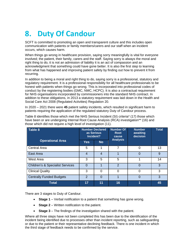# **8. Duty Of Candour**

SCFT is committed to promoting an open and transparent culture and this includes open communication with patients or family members/carers and our staff when an incident occurs, which causes harm.

When things go wrong in healthcare provision, saying sorry meaningfully is vital for everyone involved; the patient, their family, carers and the staff. Saying sorry is always the moral and right thing to do, it is not an admission of liability it is an act of compassion and an acknowledgment that something could have gone better. It is also the first step to learning from what has happened and improving patient safety by finding out how to prevent it from recurring.

In addition to being a moral and right thing to do, saying sorry is a professional, statutory and regulatory requirement. It is a professional responsibility for all healthcare professionals to be honest with patients when things go wrong. This is incorporated into professional codes of conduct by the registering bodies (GMC, NMC, HCPC). It is also a contractual requirement for NHS organisations incorporated by commissioners into the standard NHS contract. In addition to these obligations, in 2013 a statutory requirement was laid down in the Health and Social Care Act 2008 (Regulated Activities) Regulation 20.

In 2020 – 2021 there were **45** patient safety incidents, which resulted in significant harm to patients requiring the application of the regulated statutory Duty of Candour process.

| Table 8                                     |                | <b>Number Declared</b><br>as Serious<br>Incident? | <b>Number Of</b><br>Root<br>cause | <b>Number</b><br>awaiting<br>decision | <b>Total</b> |
|---------------------------------------------|----------------|---------------------------------------------------|-----------------------------------|---------------------------------------|--------------|
| <b>Operational Area</b>                     | <b>Yes</b>     | <b>No</b>                                         | <b>Analysis</b>                   |                                       |              |
| <b>Central Area</b>                         | 5              | 1                                                 | 7                                 | 0                                     | 13           |
| East Area                                   | $\overline{4}$ | $\overline{4}$                                    |                                   | $\overline{0}$                        | 9            |
| West Area                                   | 3              | 5                                                 | 5                                 | 4                                     | 14           |
| <b>Children's &amp; Specialist Services</b> | $\Omega$       | 1                                                 | $\overline{2}$                    | $\Omega$                              | 3            |
| <b>Clinical Quality</b>                     | 3              | $\Omega$                                          | $\Omega$                          | $\overline{0}$                        | 3            |
| <b>Centrally Funded Budgets</b>             | $\mathcal{P}$  | $\Omega$                                          |                                   | $\Omega$                              | 3            |
| <b>Total</b>                                | 17             | 11                                                | 16                                | 1                                     | 45           |

Table 8 identifies those which met the NHS Serious Incident (SI) criteria\* (17) those which have been or are undergoing Internal Root Cause Analysis (RCA) investigation\*\* (16) and those which did not require a high level of investigation (11).

There are 3 stages to Duty of Candour.

- **Stage 1** Verbal notification to a patient that something has gone wrong.
- **Stage 2** Written notification to the patient.
- **Stage 3** The findings of the investigation shared with the patient.

Where all three steps have not been completed this has been due to the identification of the incident being identified due to processes other than incident reporting, such as safeguarding or due to the patient or their representative declining feedback. There is one incident in which the third stage of feedback needs to be confirmed by the service.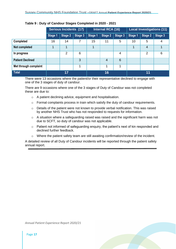|                         |         | <b>Serious Incidents (17)</b> |         |         |                | <b>Internal RCA (16)</b><br><b>Local Investigations (11)</b> |         |                |         |  |  |  |
|-------------------------|---------|-------------------------------|---------|---------|----------------|--------------------------------------------------------------|---------|----------------|---------|--|--|--|
|                         | Stage 1 | <b>Stage 2</b>                | Stage 3 | Stage 1 | <b>Stage 2</b> | Stage 3                                                      | Stage 1 | Stage 2        | Stage 3 |  |  |  |
| <b>Completed</b>        | 16      | 14                            | 7       | 15      | 11             | 5                                                            | 10      | 5              | 4       |  |  |  |
| Not completed           | 1       | 1                             |         | 4       |                |                                                              | 1       | $\overline{4}$ | 1       |  |  |  |
| In progress             |         | 2                             | 6       |         |                | $\overline{4}$                                               |         | $\overline{2}$ | 6       |  |  |  |
| <b>Patient Declined</b> |         |                               | 3       |         | $\overline{4}$ | 6                                                            |         |                |         |  |  |  |
| Met through complaint   |         |                               | 1       |         |                |                                                              |         |                |         |  |  |  |
| <b>Total</b>            |         | 17                            |         |         | 16             |                                                              | 11      |                |         |  |  |  |

#### **Table 9 : Duty of Candour Stages Completed in 2020 - 2021**

There were 13 occasions where the patient/or their representative declined to engage with one of the 3 stages of duty of candour.

There are 9 occasions where one of the 3 stages of Duty of Candour was not completed these are due to:

- o A patient declining advice, equipment and hospitalisation.
- $\circ$  Formal complaints process in train which satisfy the duty of candour requirements.
- o Details of the patient were not known to provide verbal notification. This was raised by another NHS Trust who has not responded to requests for information.
- o A situation where a safeguarding raised was raised and the significant harm was not due to SCFT, so duty of candour was not applicable.
- o Patient not informed of safeguarding enquiry, the patient's next of kin responded and declined further feedback.
- $\circ$  Where the patient safety team are still awaiting confirmation/review of the incident.

A detailed review of all Duty of Candour incidents will be reported through the patient safety annual report.